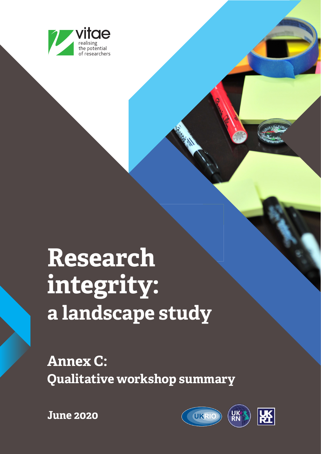

# **Research integrity: a landscape study**

**Annex C: Qualitative workshop summary**



**June 2020**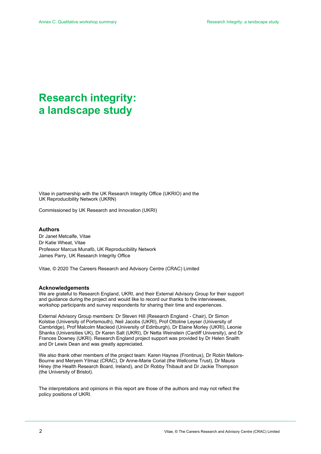# **Research integrity: a landscape study**

Vitae in partnership with the UK Research Integrity Office (UKRIO) and the UK Reproducibility Network (UKRN)

Commissioned by UK Research and Innovation (UKRI)

#### **Authors**

Dr Janet Metcalfe, Vitae Dr Katie Wheat, Vitae Professor Marcus Munafò, UK Reproducibility Network James Parry, UK Research Integrity Office

Vitae, © 2020 The Careers Research and Advisory Centre (CRAC) Limited

#### **Acknowledgements**

We are grateful to Research England, UKRI, and their External Advisory Group for their support and guidance during the project and would like to record our thanks to the interviewees, workshop participants and survey respondents for sharing their time and experiences.

External Advisory Group members: Dr Steven Hill (Research England - Chair), Dr Simon Kolstoe (University of Portsmouth), Neil Jacobs (UKRI), Prof Ottoline Leyser (University of Cambridge), Prof Malcolm Macleod (University of Edinburgh), Dr Elaine Morley (UKRI), Leonie Shanks (Universities UK), Dr Karen Salt (UKRI), Dr Netta Weinstein (Cardiff University), and Dr Frances Downey (UKRI). Research England project support was provided by Dr Helen Snaith and Dr Lewis Dean and was greatly appreciated.

We also thank other members of the project team: Karen Haynes (Frontinus), Dr Robin Mellors-Bourne and Meryem Yilmaz (CRAC), Dr Anne-Marie Coriat (the Wellcome Trust), Dr Maura Hiney (the Health Research Board, Ireland), and Dr Robby Thibault and Dr Jackie Thompson (the University of Bristol).

The interpretations and opinions in this report are those of the authors and may not reflect the policy positions of UKRI.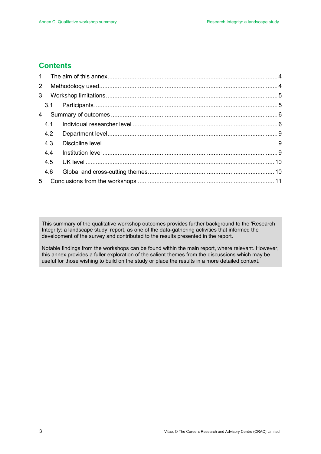## **Contents**

| 1 <sup>1</sup> |     |  |
|----------------|-----|--|
| $\overline{2}$ |     |  |
| 3 <sup>1</sup> |     |  |
|                |     |  |
| $4 \quad$      |     |  |
|                | 4.1 |  |
|                | 4.2 |  |
|                | 4.3 |  |
|                | 4.4 |  |
|                | 4.5 |  |
|                | 4.6 |  |
| 5 <sub>1</sub> |     |  |

This summary of the qualitative workshop outcomes provides further background to the 'Research Integrity: a landscape study' report, as one of the data-gathering activities that informed the development of the survey and contributed to the results presented in the report.

Notable findings from the workshops can be found within the main report, where relevant. However, this annex provides a fuller exploration of the salient themes from the discussions which may be useful for those wishing to build on the study or place the results in a more detailed context.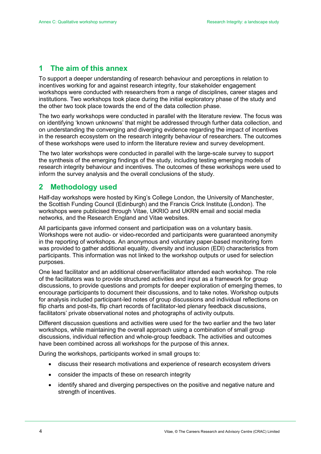## <span id="page-3-0"></span>**1 The aim of this annex**

To support a deeper understanding of research behaviour and perceptions in relation to incentives working for and against research integrity, four stakeholder engagement workshops were conducted with researchers from a range of disciplines, career stages and institutions. Two workshops took place during the initial exploratory phase of the study and the other two took place towards the end of the data collection phase.

The two early workshops were conducted in parallel with the literature review. The focus was on identifying 'known unknowns' that might be addressed through further data collection, and on understanding the converging and diverging evidence regarding the impact of incentives in the research ecosystem on the research integrity behaviour of researchers. The outcomes of these workshops were used to inform the literature review and survey development.

The two later workshops were conducted in parallel with the large-scale survey to support the synthesis of the emerging findings of the study, including testing emerging models of research integrity behaviour and incentives. The outcomes of these workshops were used to inform the survey analysis and the overall conclusions of the study.

## <span id="page-3-1"></span>**2 Methodology used**

Half-day workshops were hosted by King's College London, the University of Manchester, the Scottish Funding Council (Edinburgh) and the Francis Crick Institute (London). The workshops were publicised through Vitae, UKRIO and UKRN email and social media networks, and the Research England and Vitae websites.

All participants gave informed consent and participation was on a voluntary basis. Workshops were not audio- or video-recorded and participants were guaranteed anonymity in the reporting of workshops. An anonymous and voluntary paper-based monitoring form was provided to gather additional equality, diversity and inclusion (EDI) characteristics from participants. This information was not linked to the workshop outputs or used for selection purposes.

One lead facilitator and an additional observer/facilitator attended each workshop. The role of the facilitators was to provide structured activities and input as a framework for group discussions, to provide questions and prompts for deeper exploration of emerging themes, to encourage participants to document their discussions, and to take notes. Workshop outputs for analysis included participant-led notes of group discussions and individual reflections on flip charts and post-its, flip chart records of facilitator-led plenary feedback discussions, facilitators' private observational notes and photographs of activity outputs.

Different discussion questions and activities were used for the two earlier and the two later workshops, while maintaining the overall approach using a combination of small group discussions, individual reflection and whole-group feedback. The activities and outcomes have been combined across all workshops for the purpose of this annex.

During the workshops, participants worked in small groups to:

- discuss their research motivations and experience of research ecosystem drivers
- consider the impacts of these on research integrity
- identify shared and diverging perspectives on the positive and negative nature and strength of incentives.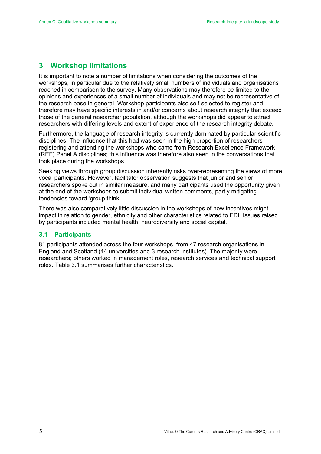## <span id="page-4-0"></span>**3 Workshop limitations**

It is important to note a number of limitations when considering the outcomes of the workshops, in particular due to the relatively small numbers of individuals and organisations reached in comparison to the survey. Many observations may therefore be limited to the opinions and experiences of a small number of individuals and may not be representative of the research base in general. Workshop participants also self-selected to register and therefore may have specific interests in and/or concerns about research integrity that exceed those of the general researcher population, although the workshops did appear to attract researchers with differing levels and extent of experience of the research integrity debate.

Furthermore, the language of research integrity is currently dominated by particular scientific disciplines. The influence that this had was seen in the high proportion of researchers registering and attending the workshops who came from Research Excellence Framework (REF) Panel A disciplines; this influence was therefore also seen in the conversations that took place during the workshops.

Seeking views through group discussion inherently risks over-representing the views of more vocal participants. However, facilitator observation suggests that junior and senior researchers spoke out in similar measure, and many participants used the opportunity given at the end of the workshops to submit individual written comments, partly mitigating tendencies toward 'group think'.

There was also comparatively little discussion in the workshops of how incentives might impact in relation to gender, ethnicity and other characteristics related to EDI. Issues raised by participants included mental health, neurodiversity and social capital.

#### <span id="page-4-1"></span>**3.1 Participants**

81 participants attended across the four workshops, from 47 research organisations in England and Scotland (44 universities and 3 research institutes). The majority were researchers; others worked in management roles, research services and technical support roles. Table 3.1 summarises further characteristics.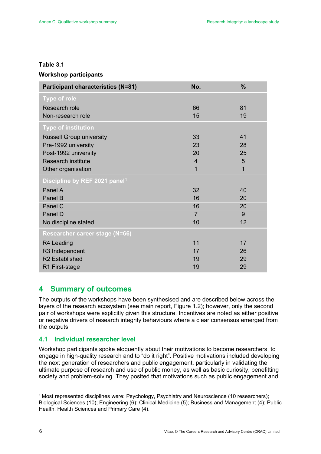#### **Table 3.1**

#### **Workshop participants**

| <b>Participant characteristics (N=81)</b> | No.            | $\frac{9}{6}$ |
|-------------------------------------------|----------------|---------------|
| <b>Type of role</b>                       |                |               |
| Research role                             | 66             | 81            |
| Non-research role                         | 15             | 19            |
| <b>Type of institution</b>                |                |               |
| <b>Russell Group university</b>           | 33             | 41            |
| Pre-1992 university                       | 23             | 28            |
| Post-1992 university                      | 20             | 25            |
| <b>Research institute</b>                 | $\overline{4}$ | 5             |
| Other organisation                        | 1              | 1             |
| Discipline by REF 2021 panel <sup>1</sup> |                |               |
| Panel A                                   | 32             | 40            |
| Panel B                                   | 16             | 20            |
| Panel C                                   | 16             | 20            |
| Panel D                                   | $\overline{7}$ | 9             |
| No discipline stated                      | 10             | 12            |
| Researcher career stage (N=66)            |                |               |
| R4 Leading                                | 11             | 17            |
| R3 Independent                            | 17             | 26            |
| <b>R2</b> Established                     | 19             | 29            |
| R1 First-stage                            | 19             | 29            |

## <span id="page-5-0"></span>**4 Summary of outcomes**

The outputs of the workshops have been synthesised and are described below across the layers of the research ecosystem (see main report, Figure 1.2); however, only the second pair of workshops were explicitly given this structure. Incentives are noted as either positive or negative drivers of research integrity behaviours where a clear consensus emerged from the outputs.

#### <span id="page-5-1"></span>**4.1 Individual researcher level**

Workshop participants spoke eloquently about their motivations to become researchers, to engage in high-quality research and to "do it right". Positive motivations included developing the next generation of researchers and public engagement, particularly in validating the ultimate purpose of research and use of public money, as well as basic curiosity, benefitting society and problem-solving. They posited that motivations such as public engagement and

<span id="page-5-2"></span><sup>&</sup>lt;sup>1</sup> Most represented disciplines were: Psychology, Psychiatry and Neuroscience (10 researchers); Biological Sciences (10); Engineering (6); Clinical Medicine (5); Business and Management (4); Public Health, Health Sciences and Primary Care (4).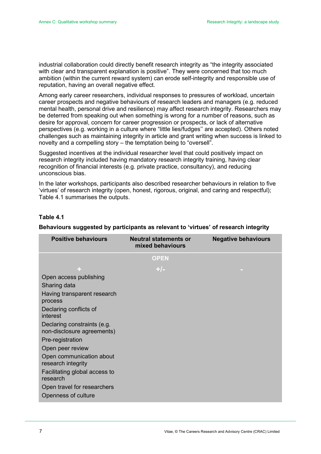industrial collaboration could directly benefit research integrity as "the integrity associated with clear and transparent explanation is positive". They were concerned that too much ambition (within the current reward system) can erode self-integrity and responsible use of reputation, having an overall negative effect.

Among early career researchers, individual responses to pressures of workload, uncertain career prospects and negative behaviours of research leaders and managers (e.g. reduced mental health, personal drive and resilience) may affect research integrity. Researchers may be deterred from speaking out when something is wrong for a number of reasons, such as desire for approval, concern for career progression or prospects, or lack of alternative perspectives (e.g. working in a culture where "little lies/fudges'' are accepted). Others noted challenges such as maintaining integrity in article and grant writing when success is linked to novelty and a compelling story – the temptation being to "oversell".

Suggested incentives at the individual researcher level that could positively impact on research integrity included having mandatory research integrity training, having clear recognition of financial interests (e.g. private practice, consultancy), and reducing unconscious bias.

In the later workshops, participants also described researcher behaviours in relation to five 'virtues' of research integrity (open, honest, rigorous, original, and caring and respectful); Table 4.1 summarises the outputs.

#### **Table 4.1**

| <b>Positive behaviours</b>                                | <b>Neutral statements or</b><br>mixed behaviours | <b>Negative behaviours</b> |
|-----------------------------------------------------------|--------------------------------------------------|----------------------------|
|                                                           | <b>OPEN</b>                                      |                            |
| ÷.                                                        | $+/-$                                            |                            |
| Open access publishing                                    |                                                  |                            |
| Sharing data                                              |                                                  |                            |
| Having transparent research<br>process                    |                                                  |                            |
| Declaring conflicts of<br>interest                        |                                                  |                            |
| Declaring constraints (e.g.<br>non-disclosure agreements) |                                                  |                            |
| Pre-registration                                          |                                                  |                            |
| Open peer review                                          |                                                  |                            |
| Open communication about<br>research integrity            |                                                  |                            |
| Facilitating global access to<br>research                 |                                                  |                            |
| Open travel for researchers                               |                                                  |                            |
| Openness of culture                                       |                                                  |                            |

#### **Behaviours suggested by participants as relevant to 'virtues' of research integrity**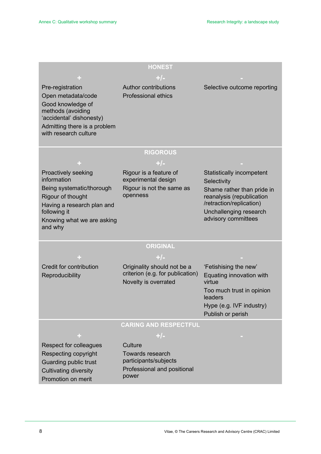| <b>HONEST</b>                                 |                                                          |                                               |  |  |  |
|-----------------------------------------------|----------------------------------------------------------|-----------------------------------------------|--|--|--|
|                                               | $+/-$                                                    |                                               |  |  |  |
| Pre-registration                              | <b>Author contributions</b>                              | Selective outcome reporting                   |  |  |  |
| Open metadata/code                            | <b>Professional ethics</b>                               |                                               |  |  |  |
| Good knowledge of                             |                                                          |                                               |  |  |  |
| methods (avoiding<br>'accidental' dishonesty) |                                                          |                                               |  |  |  |
| Admitting there is a problem                  |                                                          |                                               |  |  |  |
| with research culture                         |                                                          |                                               |  |  |  |
|                                               |                                                          |                                               |  |  |  |
|                                               | <b>RIGOROUS</b>                                          |                                               |  |  |  |
|                                               | $+/-$                                                    |                                               |  |  |  |
| Proactively seeking                           | Rigour is a feature of                                   | Statistically incompetent                     |  |  |  |
| information                                   | experimental design                                      | Selectivity                                   |  |  |  |
| Being systematic/thorough                     | Rigour is not the same as                                | Shame rather than pride in                    |  |  |  |
| Rigour of thought                             | openness                                                 | reanalysis (republication                     |  |  |  |
| Having a research plan and                    |                                                          | /retraction/replication)                      |  |  |  |
| following it                                  |                                                          | Unchallenging research<br>advisory committees |  |  |  |
| Knowing what we are asking<br>and why         |                                                          |                                               |  |  |  |
|                                               |                                                          |                                               |  |  |  |
|                                               | <b>ORIGINAL</b>                                          |                                               |  |  |  |
|                                               | $+/-$                                                    |                                               |  |  |  |
| Credit for contribution                       | Originality should not be a                              | 'Fetishising the new'                         |  |  |  |
| Reproducibility                               | criterion (e.g. for publication)<br>Novelty is overrated | Equating innovation with<br>virtue            |  |  |  |
|                                               |                                                          | Too much trust in opinion<br>leaders          |  |  |  |
|                                               |                                                          | Hype (e.g. IVF industry)                      |  |  |  |
|                                               |                                                          | Publish or perish                             |  |  |  |
|                                               | <b>CARING AND RESPECTFUL</b>                             |                                               |  |  |  |
| ÷                                             | $+/-$                                                    |                                               |  |  |  |
| <b>Respect for colleagues</b>                 | Culture                                                  |                                               |  |  |  |
| Respecting copyright                          | <b>Towards research</b>                                  |                                               |  |  |  |
| Guarding public trust                         | participants/subjects                                    |                                               |  |  |  |
| <b>Cultivating diversity</b>                  | Professional and positional                              |                                               |  |  |  |
| Promotion on merit                            | power                                                    |                                               |  |  |  |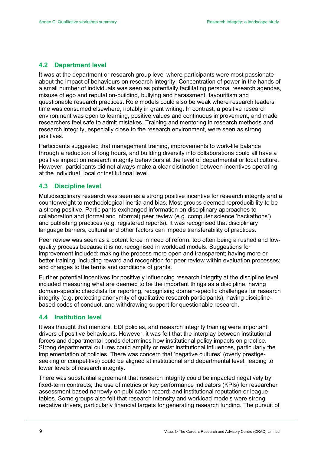#### <span id="page-8-0"></span>**4.2 Department level**

It was at the department or research group level where participants were most passionate about the impact of behaviours on research integrity. Concentration of power in the hands of a small number of individuals was seen as potentially facilitating personal research agendas, misuse of ego and reputation-building, bullying and harassment, favouritism and questionable research practices. Role models could also be weak where research leaders' time was consumed elsewhere, notably in grant writing. In contrast, a positive research environment was open to learning, positive values and continuous improvement, and made researchers feel safe to admit mistakes. Training and mentoring in research methods and research integrity, especially close to the research environment, were seen as strong positives.

Participants suggested that management training, improvements to work-life balance through a reduction of long hours, and building diversity into collaborations could all have a positive impact on research integrity behaviours at the level of departmental or local culture. However, participants did not always make a clear distinction between incentives operating at the individual, local or institutional level.

#### <span id="page-8-1"></span>**4.3 Discipline level**

Multidisciplinary research was seen as a strong positive incentive for research integrity and a counterweight to methodological inertia and bias. Most groups deemed reproducibility to be a strong positive. Participants exchanged information on disciplinary approaches to collaboration and (formal and informal) peer review (e.g. computer science 'hackathons') and publishing practices (e.g. registered reports). It was recognised that disciplinary language barriers, cultural and other factors can impede transferability of practices.

Peer review was seen as a potent force in need of reform, too often being a rushed and lowquality process because it is not recognised in workload models. Suggestions for improvement included: making the process more open and transparent; having more or better training; including reward and recognition for peer review within evaluation processes; and changes to the terms and conditions of grants.

Further potential incentives for positively influencing research integrity at the discipline level included measuring what are deemed to be the important things as a discipline, having domain-specific checklists for reporting, recognising domain-specific challenges for research integrity (e.g. protecting anonymity of qualitative research participants), having disciplinebased codes of conduct, and withdrawing support for questionable research.

#### <span id="page-8-2"></span>**4.4 Institution level**

It was thought that mentors, EDI policies, and research integrity training were important drivers of positive behaviours. However, it was felt that the interplay between institutional forces and departmental bonds determines how institutional policy impacts on practice. Strong departmental cultures could amplify or resist institutional influences, particularly the implementation of policies. There was concern that 'negative cultures' (overly prestigeseeking or competitive) could be aligned at institutional and departmental level, leading to lower levels of research integrity.

There was substantial agreement that research integrity could be impacted negatively by: fixed-term contracts; the use of metrics or key performance indicators (KPIs) for researcher assessment based narrowly on publication record; and institutional reputation or league tables. Some groups also felt that research intensity and workload models were strong negative drivers, particularly financial targets for generating research funding. The pursuit of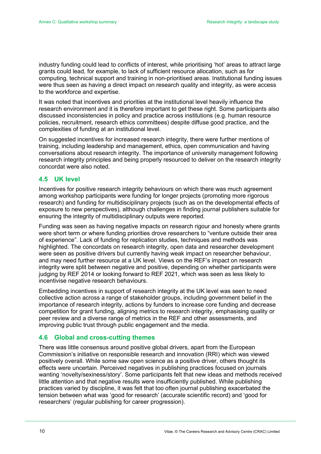industry funding could lead to conflicts of interest, while prioritising 'hot' areas to attract large grants could lead, for example, to lack of sufficient resource allocation, such as for computing, technical support and training in non-prioritised areas. Institutional funding issues were thus seen as having a direct impact on research quality and integrity, as were access to the workforce and expertise.

It was noted that incentives and priorities at the institutional level heavily influence the research environment and it is therefore important to get these right. Some participants also discussed inconsistencies in policy and practice across institutions (e.g. human resource policies, recruitment, research ethics committees) despite diffuse good practice, and the complexities of funding at an institutional level.

On suggested incentives for increased research integrity, there were further mentions of training, including leadership and management, ethics, open communication and having conversations about research integrity. The importance of university management following research integrity principles and being properly resourced to deliver on the research integrity concordat were also noted.

#### <span id="page-9-0"></span>**4.5 UK level**

Incentives for positive research integrity behaviours on which there was much agreement among workshop participants were funding for longer projects (promoting more rigorous research) and funding for multidisciplinary projects (such as on the developmental effects of exposure to new perspectives), although challenges in finding journal publishers suitable for ensuring the integrity of multidisciplinary outputs were reported.

Funding was seen as having negative impacts on research rigour and honesty where grants were short term or where funding priorities drove researchers to "venture outside their area of experience". Lack of funding for replication studies, techniques and methods was highlighted. The concordats on research integrity, open data and researcher development were seen as positive drivers but currently having weak impact on researcher behaviour, and may need further resource at a UK level. Views on the REF's impact on research integrity were split between negative and positive, depending on whether participants were judging by REF 2014 or looking forward to REF 2021, which was seen as less likely to incentivise negative research behaviours.

Embedding incentives in support of research integrity at the UK level was seen to need collective action across a range of stakeholder groups, including government belief in the importance of research integrity, actions by funders to increase core funding and decrease competition for grant funding, aligning metrics to research integrity, emphasising quality or peer review and a diverse range of metrics in the REF and other assessments, and improving public trust through public engagement and the media.

#### <span id="page-9-1"></span>**4.6 Global and cross-cutting themes**

There was little consensus around positive global drivers, apart from the European Commission's initiative on responsible research and innovation (RRI) which was viewed positively overall. While some saw open science as a positive driver, others thought its effects were uncertain. Perceived negatives in publishing practices focused on journals wanting 'novelty/sexiness/story'. Some participants felt that new ideas and methods received little attention and that negative results were insufficiently published. While publishing practices varied by discipline, it was felt that too often journal publishing exacerbated the tension between what was 'good for research' (accurate scientific record) and 'good for researchers' (regular publishing for career progression).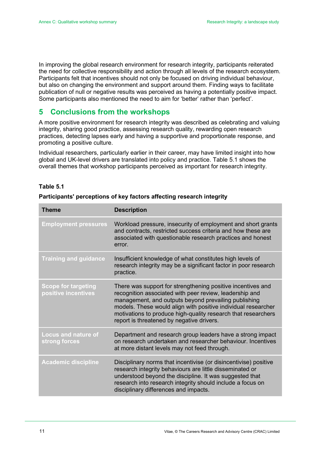In improving the global research environment for research integrity, participants reiterated the need for collective responsibility and action through all levels of the research ecosystem. Participants felt that incentives should not only be focused on driving individual behaviour, but also on changing the environment and support around them. Finding ways to facilitate publication of null or negative results was perceived as having a potentially positive impact. Some participants also mentioned the need to aim for 'better' rather than 'perfect'.

### <span id="page-10-0"></span>**5 Conclusions from the workshops**

A more positive environment for research integrity was described as celebrating and valuing integrity, sharing good practice, assessing research quality, rewarding open research practices, detecting lapses early and having a supportive and proportionate response, and promoting a positive culture.

Individual researchers, particularly earlier in their career, may have limited insight into how global and UK-level drivers are translated into policy and practice. Table 5.1 shows the overall themes that workshop participants perceived as important for research integrity.

#### **Table 5.1**

| <b>Theme</b>                                      | <b>Description</b>                                                                                                                                                                                                                                                                                                                                            |  |  |
|---------------------------------------------------|---------------------------------------------------------------------------------------------------------------------------------------------------------------------------------------------------------------------------------------------------------------------------------------------------------------------------------------------------------------|--|--|
| <b>Employment pressures</b>                       | Workload pressure, insecurity of employment and short grants<br>and contracts, restricted success criteria and how these are<br>associated with questionable research practices and honest<br>error.                                                                                                                                                          |  |  |
| <b>Training and guidance</b>                      | Insufficient knowledge of what constitutes high levels of<br>research integrity may be a significant factor in poor research<br>practice.                                                                                                                                                                                                                     |  |  |
| <b>Scope for targeting</b><br>positive incentives | There was support for strengthening positive incentives and<br>recognition associated with peer review, leadership and<br>management, and outputs beyond prevailing publishing<br>models. These would align with positive individual researcher<br>motivations to produce high-quality research that researchers<br>report is threatened by negative drivers. |  |  |
| <b>Locus and nature of</b><br>strong forces       | Department and research group leaders have a strong impact<br>on research undertaken and researcher behaviour. Incentives<br>at more distant levels may not feed through.                                                                                                                                                                                     |  |  |
| <b>Academic discipline</b>                        | Disciplinary norms that incentivise (or disincentivise) positive<br>research integrity behaviours are little disseminated or<br>understood beyond the discipline. It was suggested that<br>research into research integrity should include a focus on<br>disciplinary differences and impacts.                                                                |  |  |

#### **Participants' perceptions of key factors affecting research integrity**